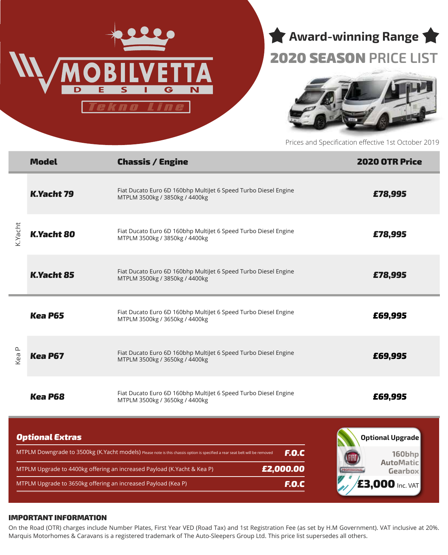



## 2020 SEASON **PRICE LIST**



Prices and Specification effective 1st October 2019

| Fiat Ducato Euro 6D 160bhp MultiJet 6 Speed Turbo Diesel Engine<br>K.Yacht 79<br>£78,995<br>MTPLM 3500kg / 3850kg / 4400kg<br>K.Yacht<br>Fiat Ducato Euro 6D 160bhp MultiJet 6 Speed Turbo Diesel Engine<br><b>K.Yacht 80</b><br>£78,995<br>MTPLM 3500kg / 3850kg / 4400kg<br>Fiat Ducato Euro 6D 160bhp Multijet 6 Speed Turbo Diesel Engine<br><b>K.Yacht 85</b><br>£78,995<br>MTPLM 3500kg / 3850kg / 4400kg<br>Fiat Ducato Euro 6D 160bhp MultiJet 6 Speed Turbo Diesel Engine<br><b>Kea P65</b><br>£69,995<br>MTPLM 3500kg / 3650kg / 4400kg<br>L<br>Fiat Ducato Euro 6D 160bhp MultiJet 6 Speed Turbo Diesel Engine<br>Kea<br>£69,995<br><b>Kea P67</b><br>MTPLM 3500kg / 3650kg / 4400kg<br>Fiat Ducato Euro 6D 160bhp Multijet 6 Speed Turbo Diesel Engine<br><b>Kea P68</b><br>£69,995<br>MTPLM 3500kg / 3650kg / 4400kg<br><b>Optional Extras</b><br>Optional Upgrade<br>MTPLM Downgrade to 3500kg (K.Yacht models) Please note is this chassis option is specified a rear seat belt will be removed<br><b>F.O.C</b><br>160bhp<br><b>AutoMatic</b><br>£2,000.00<br>MTPLM Upgrade to 4400kg offering an increased Payload (K.Yacht & Kea P)<br>Gearbox |  | <b>Model</b> | <b>Chassis / Engine</b> | <b>2020 OTR Price</b> |  |  |
|-----------------------------------------------------------------------------------------------------------------------------------------------------------------------------------------------------------------------------------------------------------------------------------------------------------------------------------------------------------------------------------------------------------------------------------------------------------------------------------------------------------------------------------------------------------------------------------------------------------------------------------------------------------------------------------------------------------------------------------------------------------------------------------------------------------------------------------------------------------------------------------------------------------------------------------------------------------------------------------------------------------------------------------------------------------------------------------------------------------------------------------------------------------------|--|--------------|-------------------------|-----------------------|--|--|
|                                                                                                                                                                                                                                                                                                                                                                                                                                                                                                                                                                                                                                                                                                                                                                                                                                                                                                                                                                                                                                                                                                                                                                 |  |              |                         |                       |  |  |
|                                                                                                                                                                                                                                                                                                                                                                                                                                                                                                                                                                                                                                                                                                                                                                                                                                                                                                                                                                                                                                                                                                                                                                 |  |              |                         |                       |  |  |
|                                                                                                                                                                                                                                                                                                                                                                                                                                                                                                                                                                                                                                                                                                                                                                                                                                                                                                                                                                                                                                                                                                                                                                 |  |              |                         |                       |  |  |
|                                                                                                                                                                                                                                                                                                                                                                                                                                                                                                                                                                                                                                                                                                                                                                                                                                                                                                                                                                                                                                                                                                                                                                 |  |              |                         |                       |  |  |
|                                                                                                                                                                                                                                                                                                                                                                                                                                                                                                                                                                                                                                                                                                                                                                                                                                                                                                                                                                                                                                                                                                                                                                 |  |              |                         |                       |  |  |
|                                                                                                                                                                                                                                                                                                                                                                                                                                                                                                                                                                                                                                                                                                                                                                                                                                                                                                                                                                                                                                                                                                                                                                 |  |              |                         |                       |  |  |
|                                                                                                                                                                                                                                                                                                                                                                                                                                                                                                                                                                                                                                                                                                                                                                                                                                                                                                                                                                                                                                                                                                                                                                 |  |              |                         |                       |  |  |
| <b>E3,000 Inc. VAT</b><br>F.O.C<br>MTPLM Upgrade to 3650kg offering an increased Payload (Kea P)                                                                                                                                                                                                                                                                                                                                                                                                                                                                                                                                                                                                                                                                                                                                                                                                                                                                                                                                                                                                                                                                |  |              |                         |                       |  |  |

#### IMPORTANT INFORMATION

On the Road (OTR) charges include Number Plates, First Year VED (Road Tax) and 1st Registration Fee (as set by H.M Government). VAT inclusive at 20%. Marquis Motorhomes & Caravans is a registered trademark of The Auto-Sleepers Group Ltd. This price list supersedes all others.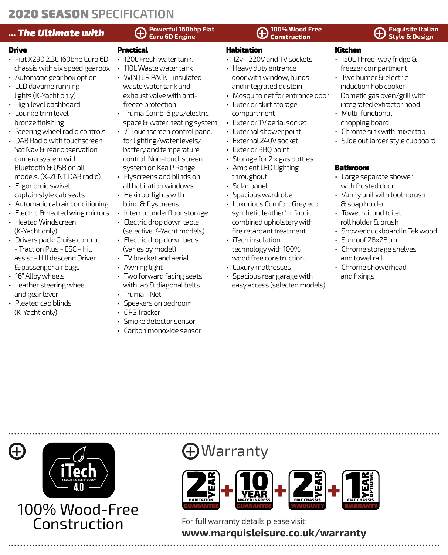## **2020 SEASON SPECIFICATION**

## **Exquisite Italian Euro 6D Engine** *Example Exquisite Italian* **<b>(A)** Construction **(A)** Exquisite Italian **Exquisite Italian**

#### Drive

- Fiat X290 2.3L 160bhp Euro 6D chassis with six speed gearbox
- Automatic gear box option • LED daytime running lights (K-Yacht only)
- High level dashboard
- Lounge trim level bronze finishing
- Steering wheel radio controls
- DAB Radio with touchscreen Sat Nav & rear observation camera system with Bluetooth & USB on all models. (X-ZENT DAB radio)
- Ergonomic swivel captain style cab seats
- Automatic cab air conditioning
- Electric & heated wing mirrors
- Heated Windscreen (K-Yacht only)
- Drivers pack: Cruise control - Traction Plus - ESC - Hill assist - Hill descend Driver & passenger air bags
- 16" Alloy wheels
- Leather steering wheel and gear lever
- Pleated cab blinds (K-Yacht only)

## **Powerful 160bhp Fiat**

## Practical

- 120L Fresh water tank.
- 110L Waste water tank
- WINTER PACK insulated waste water tank and exhaust valve with antifreeze protection
- Truma Combi 6 gas/electric space & water heating system
- 7" Touchscreen control panel for lighting/water levels/ battery and temperature control. Non-touchscreen system on Kea P Range
- Flyscreens and blinds on all habitation windows
- Heki rooflights with blind & flyscreens
- Internal underfloor storage
- Electric drop down table (selective K-Yacht models)
- Electric drop down beds (varies by model)
- TV bracket and aerial
- Awning light
- Two forward facing seats with lap & diagonal belts
- Truma i-Net
- Speakers on bedroom
- GPS Tracker
- Smoke detector sensor
- Carbon monoxide sensor

#### **100% Wood Free Construction**

### Habitation

- 12v 220V and TV sockets
- Heavy duty entrance door with window, blinds and integrated dustbin
- Mosquito net for entrance door
- Exterior skirt storage compartment
- Exterior TV aerial socket
- External shower point
- External 240V socket
- Exterior BBQ point
- Storage for 2 x gas bottles
- Ambient LED Lighting throughout
- Solar panel
- Spacious wardrobe
- Luxurious Comfort Grey eco synthetic leather\* + fabric combined upholstery with fire retardant treatment
- iTech insulation technology with 100% wood free construction.
- Luxury mattresses
- Spacious rear garage with easy access (selected models)

# **Style & Design**

- Kitchen • 150L Three-way fridge & freezer compartment
- Two burner & electric induction hob cooker Dometic gas oven/grill with
- integrated extractor hood • Multi-functional
- chopping board
- Chrome sink with mixer tap
- Slide out larder style cupboard

## Bathroom

- Large separate shower with frosted door
- Vanity unit with toothbrush & soap holder
- Towel rail and toilet roll holder & brush
- Shower duckboard in Tek wood
- Sunroof 28x28cm
- Chrome storage shelves and towel rail
- Chrome showerhead and fixings

100% Wood-Free Construction For full warranty details please visit:

# Warranty



## **www.marquisleisure.co.uk/warranty**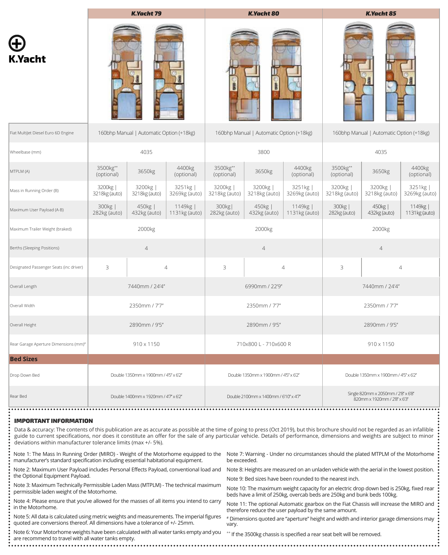|                                                   | <b>K.Yacht 79</b>                        |                           |                           | <b>K.Yacht 80</b>                        |                         |                           |                                                                     | <b>K.Yacht 85</b>         |                           |  |
|---------------------------------------------------|------------------------------------------|---------------------------|---------------------------|------------------------------------------|-------------------------|---------------------------|---------------------------------------------------------------------|---------------------------|---------------------------|--|
| <b>K.Yacht</b>                                    |                                          |                           |                           |                                          |                         |                           |                                                                     |                           |                           |  |
| Fiat MultiJet Diesel Euro 6D Engine               | 160bhp Manual   Automatic Option (+18kg) |                           |                           | 160bhp Manual   Automatic Option (+18kg) |                         |                           | 160bhp Manual   Automatic Option (+18kg)                            |                           |                           |  |
| Wheelbase (mm)                                    |                                          | 4035                      |                           |                                          | 3800                    |                           |                                                                     | 4035                      |                           |  |
| MTPLM (A)                                         | 3500kg**<br>(optional)                   | 3650kg                    | 4400kg<br>(optional)      | 3500kg**<br>(optional)                   | 3650kg                  | 4400kg<br>(optional)      | 3500kg**<br>(optional)                                              | 3650kg                    | 4400kg<br>(optional)      |  |
| Mass in Running Order (B)                         | 3200kg  <br>3218kg (auto)                | 3200kg  <br>3218kg (auto) | 3251kg<br>3269kg (auto)   | 3200kg  <br>3218kg (auto)                | 3200kg<br>3218kg (auto) | 3251kg  <br>3269kg (auto) | 3200kg<br>3218kg (auto)                                             | 3200kg  <br>3218kg (auto) | 3251kg<br>3269kg (auto)   |  |
| Maximum User Payload (A-B)                        | 300kg  <br>282kg (auto)                  | 450kg  <br>432kg (auto)   | 1149kg  <br>1131kg (auto) | 300kg<br>282kg (auto)                    | 450kg  <br>432kg (auto) | 1149kg  <br>1131kg (auto) | 300kg  <br>282kg (auto)                                             | 450kg  <br>432kg (auto)   | 1149kg  <br>1131kg (auto) |  |
| Maximum Trailer Weight (braked)                   | 2000kg                                   |                           |                           | 2000kg                                   |                         |                           | 2000kg                                                              |                           |                           |  |
| Berths (Sleeping Positions)                       |                                          |                           | $\overline{4}$            |                                          | $\overline{4}$          |                           | $\overline{4}$                                                      |                           |                           |  |
| Designated Passenger Seats (inc driver)           | 3<br>$\overline{4}$                      |                           | 3                         | $\overline{4}$                           |                         | 3<br>$\overline{4}$       |                                                                     |                           |                           |  |
| Overall Length                                    | 7440mm / 24'4"                           |                           |                           | 6990mm / 22'9"                           |                         |                           | 7440mm / 24'4"                                                      |                           |                           |  |
| Overall Width                                     | 2350mm / 7'7"                            |                           |                           | 2350mm / 7'7"                            |                         |                           | 2350mm / 7'7"                                                       |                           |                           |  |
| Overall Height                                    | 2890mm / 9'5"                            |                           |                           | 2890mm / 9'5"                            |                         |                           | 2890mm / 9'5"                                                       |                           |                           |  |
| Rear Garage Aperture Dimensions (mm) <sup>#</sup> | 910 x 1150                               |                           |                           | 710x800 L - 710x600 R                    |                         |                           | 910 x 1150                                                          |                           |                           |  |
| <b>Bed Sizes</b>                                  |                                          |                           |                           |                                          |                         |                           |                                                                     |                           |                           |  |
| Drop Down Bed                                     | Double 1350mm x 1900mm / 4'5" x 6'2"     |                           |                           | Double 1350mm x 1900mm / 4'5" x 6'2"     |                         |                           | Double 1350mm x 1900mm / 4'5' x 6'2"                                |                           |                           |  |
| Rear Bed<br>.                                     | Double 1400mm x 1920mm / 47" x 6'2"      |                           |                           | Double 2100mm x 1400mm / 6'10" x 4'7"    |                         |                           | Single 820mm x 2050mm / 2'8" x 6'8"<br>820mm x 1920mm / 2'8" x 6'3" |                           |                           |  |

#### IMPORTANT INFORMATION

Data & accuracy: The contents of this publication are as accurate as possible at the time of going to press (Oct 2019), but this brochure should not be regarded as an infallible guide to current specifications, nor does it constitute an offer for the sale of any particular vehicle. Details of performance, dimensions and weights are subject to minor deviations within manufacturer tolerance limits (max +/- 5%).

manufacturer's standard specification including essential habitational equipment.

Note 2: Maximum User Payload includes Personal Effects Payload, conventional load and the Optional Equipment Payload.

Note 3: Maximum Technically Permissible Laden Mass (MTPLM) - The technical maximum permissible laden weight of the Motorhome.

Note 4: Please ensure that you've allowed for the masses of all items you intend to carry in the Motorhome.

Note 5: All data is calculated using metric weights and measurements. The imperial figures quoted are conversions thereof. All dimensions have a tolerance of +/- 25mm.

Note 6: Your Motorhome weights have been calculated with all water tanks empty and you are recommend to travel with all water tanks empty.

Note 1: The Mass In Running Order (MIRO) - Weight of the Motorhome equipped to the Note 7: Warning - Under no circumstances should the plated MTPLM of the Motorhome be exceeded.

Note 8: Heights are measured on an unladen vehicle with the aerial in the lowest position.

Note 9: Bed sizes have been rounded to the nearest inch.

Note 10: The maximum weight capacity for an electric drop down bed is 250kg, fixed rear beds have a limit of 250kg, overcab beds are 250kg and bunk beds 100kg.

Note 11: The optional Automatic gearbox on the Fiat Chassis will increase the MIRO and therefore reduce the user payload by the same amount.

# Dimensions quoted are "aperture" height and width and interior garage dimensions may vary.

\*\* If the 3500kg chassis is specified a rear seat belt will be removed.